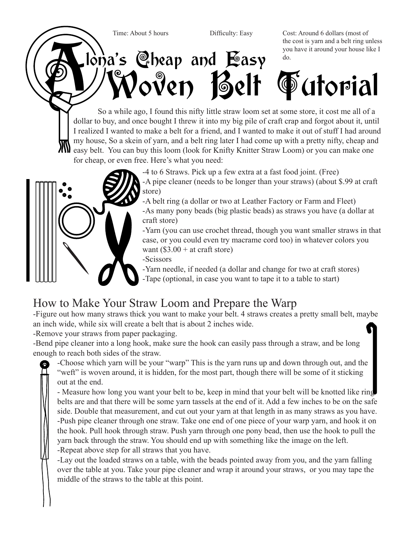

 $l$  $\alpha$ 's Cheap and Easy

Time: About 5 hours Difficulty: Easy Cost: Around 6 dollars (most of the cost is yarn and a belt ring unless you have it around your house like I do.

## Woven Belt Tutorial

So a while ago, I found this nifty little straw loom set at some store, it cost me all of a dollar to buy, and once bought I threw it into my big pile of craft crap and forgot about it, until I realized I wanted to make a belt for a friend, and I wanted to make it out of stuff I had around my house, So a skein of yarn, and a belt ring later I had come up with a pretty nifty, cheap and easy belt. You can buy this loom (look for Knifty Knitter Straw Loom) or you can make one for cheap, or even free. Here's what you need:



-4 to 6 Straws. Pick up a few extra at a fast food joint. (Free) -A pipe cleaner (needs to be longer than your straws) (about \$.99 at craft store)

-A belt ring (a dollar or two at Leather Factory or Farm and Fleet) -As many pony beads (big plastic beads) as straws you have (a dollar at craft store)

-Yarn (you can use crochet thread, though you want smaller straws in that case, or you could even try macrame cord too) in whatever colors you want  $(\$3.00 + at \text{ craft store})$ 

-Scissors

-Yarn needle, if needed (a dollar and change for two at craft stores) -Tape (optional, in case you want to tape it to a table to start)

## How to Make Your Straw Loom and Prepare the Warp

-Figure out how many straws thick you want to make your belt. 4 straws creates a pretty small belt, maybe an inch wide, while six will create a belt that is about 2 inches wide.

-Remove your straws from paper packaging.

-Bend pipe cleaner into a long hook, make sure the hook can easily pass through a straw, and be long enough to reach both sides of the straw.

-Choose which yarn will be your "warp" This is the yarn runs up and down through out, and the "weft" is woven around, it is hidden, for the most part, though there will be some of it sticking out at the end.

- Measure how long you want your belt to be, keep in mind that your belt will be knotted like ring belts are and that there will be some yarn tassels at the end of it. Add a few inches to be on the safe side. Double that measurement, and cut out your yarn at that length in as many straws as you have. -Push pipe cleaner through one straw. Take one end of one piece of your warp yarn, and hook it on the hook. Pull hook through straw. Push yarn through one pony bead, then use the hook to pull the yarn back through the straw. You should end up with something like the image on the left. -Repeat above step for all straws that you have.

-Lay out the loaded straws on a table, with the beads pointed away from you, and the yarn falling over the table at you. Take your pipe cleaner and wrap it around your straws, or you may tape the middle of the straws to the table at this point.